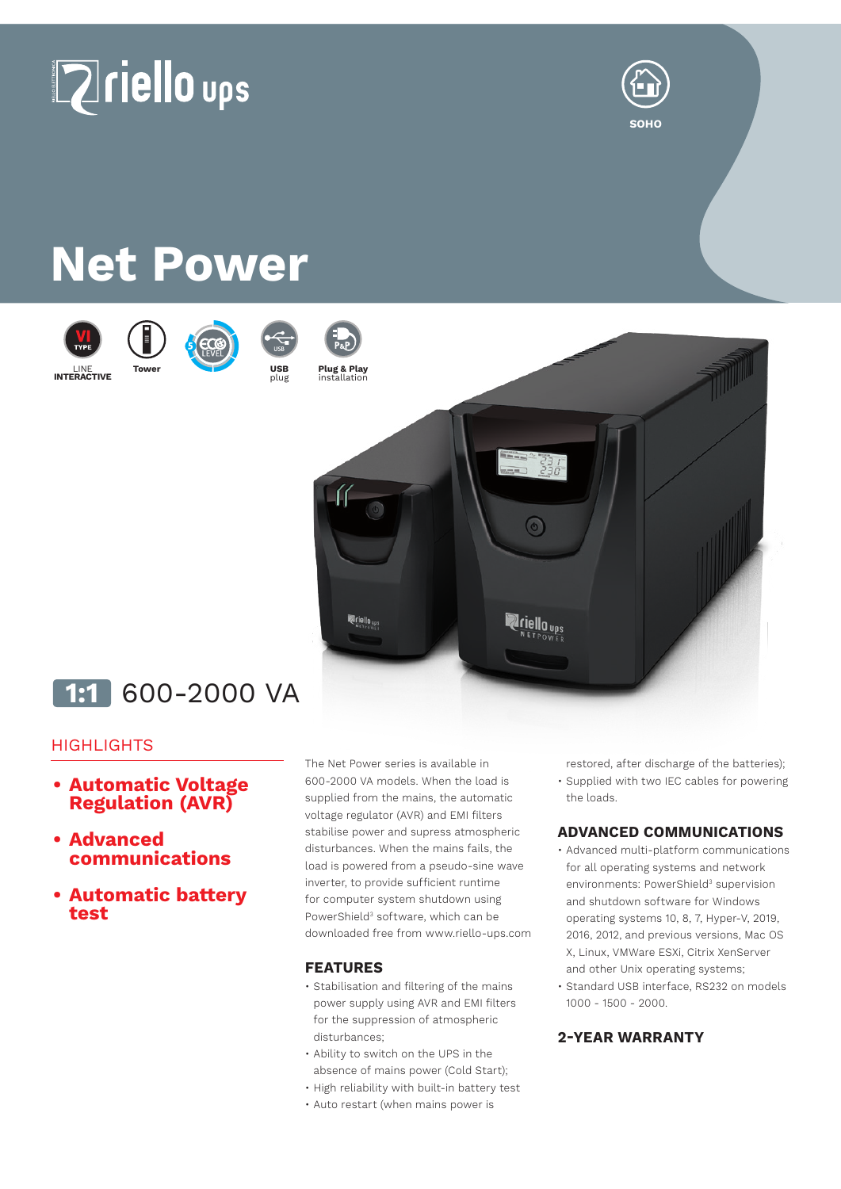



# **Net Power**







plug



**Plug & Play**



## **1:1** 600-2000 VA

### **HIGHLIGHTS**

- **• Automatic Voltage Regulation (AVR)**
- **• Advanced communications**
- **• Automatic battery test**

The Net Power series is available in 600-2000 VA models. When the load is supplied from the mains, the automatic voltage regulator (AVR) and EMI filters stabilise power and supress atmospheric disturbances. When the mains fails, the load is powered from a pseudo-sine wave inverter, to provide sufficient runtime for computer system shutdown using PowerShield<sup>3</sup> software, which can be downloaded free from www.riello-ups.com

#### **FEATURES**

- Stabilisation and filtering of the mains power supply using AVR and EMI filters for the suppression of atmospheric disturbances;
- Ability to switch on the UPS in the absence of mains power (Cold Start);
- High reliability with built-in battery test
- Auto restart (when mains power is

restored, after discharge of the batteries);

• Supplied with two IEC cables for powering the loads.

#### **ADVANCED COMMUNICATIONS**

- Advanced multi-platform communications for all operating systems and network environments: PowerShield<sup>3</sup> supervision and shutdown software for Windows operating systems 10, 8, 7, Hyper-V, 2019, 2016, 2012, and previous versions, Mac OS X, Linux, VMWare ESXi, Citrix XenServer and other Unix operating systems;
- Standard USB interface, RS232 on models 1000 - 1500 - 2000.

#### **2-YEAR WARRANTY**